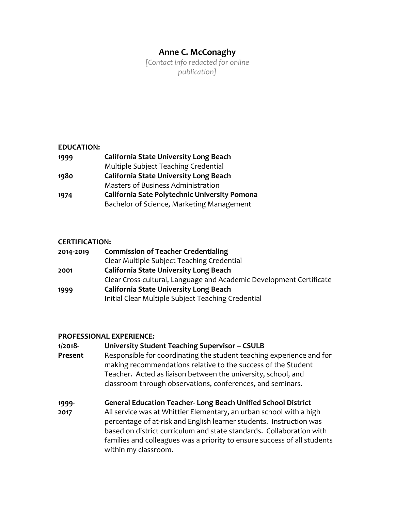# **Anne C. McConaghy**

*[Contact info redacted for online publication]*

## **EDUCATION:**

| 1999 | <b>California State University Long Beach</b> |
|------|-----------------------------------------------|
|      | Multiple Subject Teaching Credential          |
| 1980 | <b>California State University Long Beach</b> |
|      | Masters of Business Administration            |
| 1974 | California Sate Polytechnic University Pomona |
|      | Bachelor of Science, Marketing Management     |

## **CERTIFICATION:**

| 2014-2019 | <b>Commission of Teacher Credentialing</b>                          |
|-----------|---------------------------------------------------------------------|
|           | Clear Multiple Subject Teaching Credential                          |
| 2001      | <b>California State University Long Beach</b>                       |
|           | Clear Cross-cultural, Language and Academic Development Certificate |
| 1999      | <b>California State University Long Beach</b>                       |
|           | Initial Clear Multiple Subject Teaching Credential                  |

#### **PROFESSIONAL EXPERIENCE:**

| 1/2018-<br>Present | <b>University Student Teaching Supervisor - CSULB</b><br>Responsible for coordinating the student teaching experience and for<br>making recommendations relative to the success of the Student<br>Teacher. Acted as liaison between the university, school, and<br>classroom through observations, conferences, and seminars.                                                                 |
|--------------------|-----------------------------------------------------------------------------------------------------------------------------------------------------------------------------------------------------------------------------------------------------------------------------------------------------------------------------------------------------------------------------------------------|
| 1999-<br>2017      | <b>General Education Teacher-Long Beach Unified School District</b><br>All service was at Whittier Elementary, an urban school with a high<br>percentage of at-risk and English learner students. Instruction was<br>based on district curriculum and state standards. Collaboration with<br>families and colleagues was a priority to ensure success of all students<br>within my classroom. |